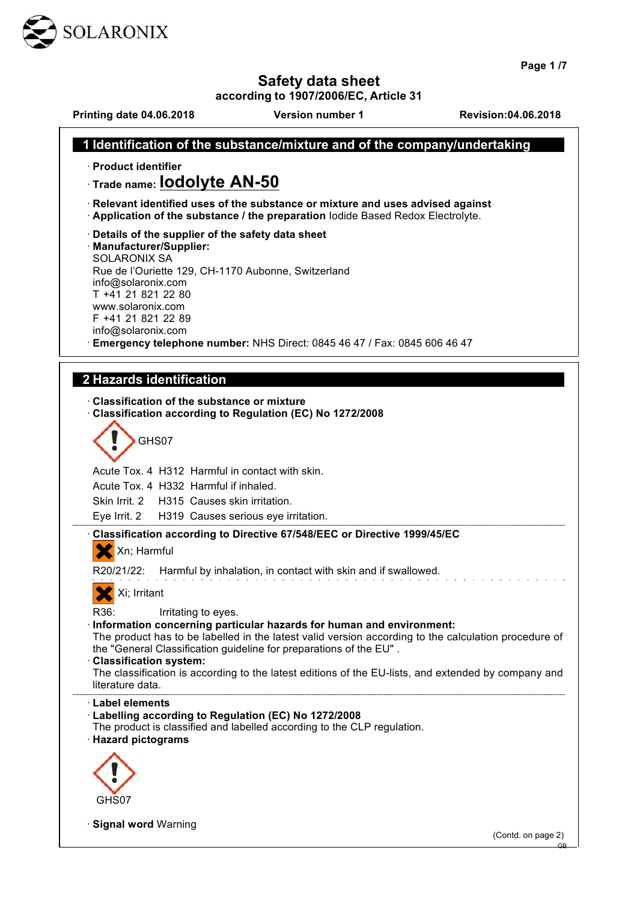

· **Signal word** Warning

**Page 1 /7**

#### **Safety data sheet**

**according to 1907/2006/EC, Article 31 Printing date 04.06.2018 Version number 1 Revision:04.06.2018 1 Identification of the substance/mixture and of the company/undertaking**  · **Product identifier** · **Trade name: Iodolyte AN-50** · **Relevant identified uses of the substance or mixture and uses advised against** · **Application of the substance / the preparation** Iodide Based Redox Electrolyte. · **Details of the supplier of the safety data sheet** · **Manufacturer/Supplier:** SOLARONIX SA Rue de l'Ouriette 129, CH-1170 Aubonne, Switzerland info@solaronix.com T +41 21 821 22 80 www.solaronix.com F +41 21 821 22 89 info@solaronix.com · **Emergency telephone number:** NHS Direct: 0845 46 47 / Fax: 0845 606 46 47  **2 Hazards identification**  · **Classification of the substance or mixture** · **Classification according to Regulation (EC) No 1272/2008** GHS07 Acute Tox. 4 H312 Harmful in contact with skin. Acute Tox. 4 H332 Harmful if inhaled. Skin Irrit. 2 H315 Causes skin irritation. Eye Irrit. 2 H319 Causes serious eye irritation. · **Classification according to Directive 67/548/EEC or Directive 1999/45/EC** Xn; Harmful R20/21/22: Harmful by inhalation, in contact with skin and if swallowed. XI; Irritant R36: Irritating to eyes. · **Information concerning particular hazards for human and environment:** The product has to be labelled in the latest valid version according to the calculation procedure of the "General Classification guideline for preparations of the EU" . · **Classification system:** The classification is according to the latest editions of the EU-lists, and extended by company and literature data. · **Label elements** · **Labelling according to Regulation (EC) No 1272/2008** The product is classified and labelled according to the CLP regulation. · **Hazard pictograms** GHS07

(Contd. on page 2)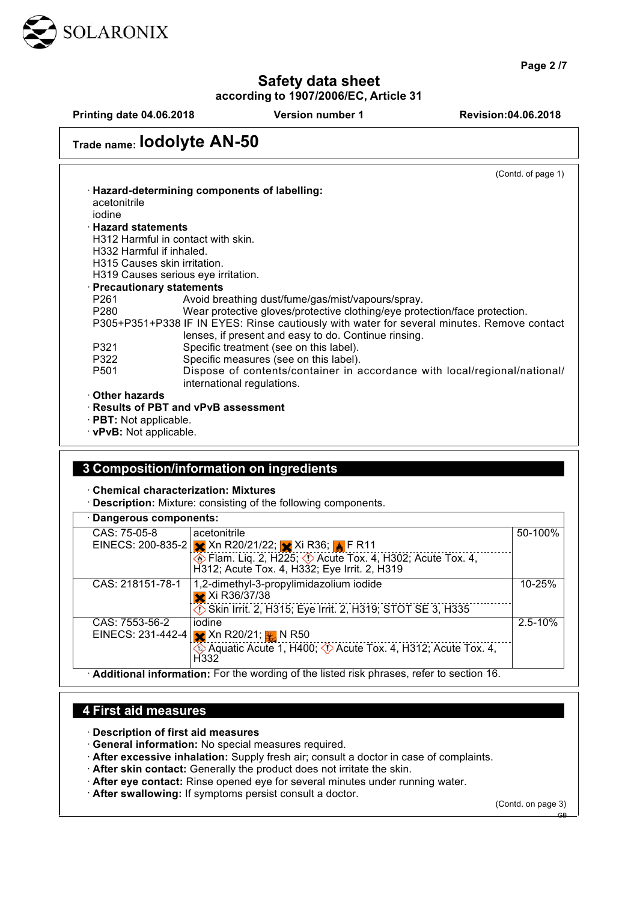

**Page 2 /7**

# **Safety data sheet**

**according to 1907/2006/EC, Article 31**

**Printing date 04.06.2018 Version number 1 Revision:04.06.2018**

| Trade name: IOdolyte AN-50 |                                                                                            |  |
|----------------------------|--------------------------------------------------------------------------------------------|--|
|                            | (Contd. of page 1)                                                                         |  |
|                            | · Hazard-determining components of labelling:                                              |  |
| acetonitrile               |                                                                                            |  |
| iodine                     |                                                                                            |  |
| <b>· Hazard statements</b> |                                                                                            |  |
|                            | H312 Harmful in contact with skin.                                                         |  |
| H332 Harmful if inhaled.   |                                                                                            |  |
|                            | H315 Causes skin irritation.                                                               |  |
|                            | H319 Causes serious eye irritation.                                                        |  |
|                            | · Precautionary statements                                                                 |  |
| P261                       | Avoid breathing dust/fume/gas/mist/vapours/spray.                                          |  |
| P280                       | Wear protective gloves/protective clothing/eye protection/face protection.                 |  |
|                            | P305+P351+P338 IF IN EYES: Rinse cautiously with water for several minutes. Remove contact |  |
|                            | lenses, if present and easy to do. Continue rinsing.                                       |  |
| P321                       | Specific treatment (see on this label).                                                    |  |
| P322                       | Specific measures (see on this label).                                                     |  |
| P501                       | Dispose of contents/container in accordance with local/regional/national/                  |  |
|                            | international regulations.                                                                 |  |
| ⋅ Other hazards            |                                                                                            |  |
|                            | $\cdot$ Results of PBT and vPvB assessment                                                 |  |

· **PBT:** Not applicable.

· **vPvB:** Not applicable.

## **3 Composition/information on ingredients**

· **Chemical characterization: Mixtures**

· **Description:** Mixture: consisting of the following components.

| · Dangerous components: |                                                                                                                |             |  |  |
|-------------------------|----------------------------------------------------------------------------------------------------------------|-------------|--|--|
| CAS: 75-05-8            | acetonitrile                                                                                                   | 50-100%     |  |  |
|                         | EINECS: 200-835-2   ★ Xn R20/21/22; ★ Xi R36; ★ F R11                                                          |             |  |  |
|                         | <b>Elam. Liq. 2, H225; V</b> Acute Tox. 4, H302; Acute Tox. 4,<br>H312; Acute Tox. 4, H332; Eye Irrit. 2, H319 |             |  |  |
| CAS: 218151-78-1        | 1,2-dimethyl-3-propylimidazolium iodide                                                                        | 10-25%      |  |  |
|                         | Xi R36/37/38                                                                                                   |             |  |  |
|                         | Skin Irrit. 2, H315; Eye Irrit. 2, H319; STOT SE 3, H335                                                       |             |  |  |
| CAS: 7553-56-2          | iodine                                                                                                         | $2.5 - 10%$ |  |  |
|                         | EINECS: 231-442-4 $\times$ Xn R20/21; $\frac{1}{2}$ N R50                                                      |             |  |  |
|                         | $\bigcirc$ Aquatic Acute 1, H400; $\bigcirc$ Acute Tox. 4, H312; Acute Tox. 4,<br>H <sub>332</sub>             |             |  |  |
|                         | Additional information: For the wording of the listed risk phrases, refer to section 16.                       |             |  |  |

#### **4 First aid measures**

· **Description of first aid measures**

- · **General information:** No special measures required.
- · **After excessive inhalation:** Supply fresh air; consult a doctor in case of complaints.
- · **After skin contact:** Generally the product does not irritate the skin.
- · **After eye contact:** Rinse opened eye for several minutes under running water.
- · **After swallowing:** If symptoms persist consult a doctor.

(Contd. on page 3)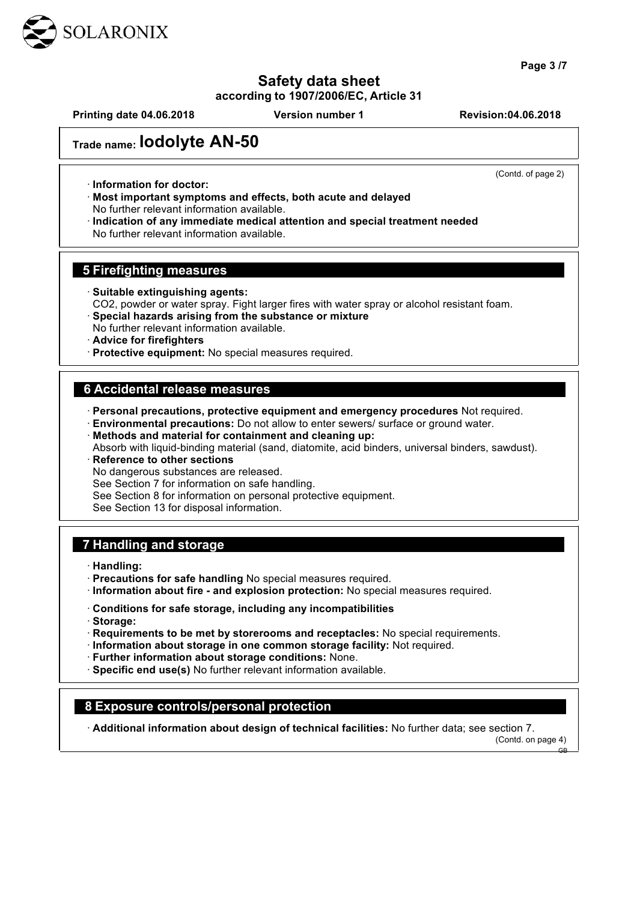

**Page 3 /7**

### **Safety data sheet**

**according to 1907/2006/EC, Article 31**

**Printing date 04.06.2018 Version number 1 Revision:04.06.2018**

(Contd. of page 2)

**Trade name: Iodolyte AN-50**

· **Information for doctor:**

· **Most important symptoms and effects, both acute and delayed** No further relevant information available.

· **Indication of any immediate medical attention and special treatment needed** No further relevant information available.

#### **5 Firefighting measures**

· **Suitable extinguishing agents:**

CO2, powder or water spray. Fight larger fires with water spray or alcohol resistant foam.

- · **Special hazards arising from the substance or mixture** No further relevant information available.
- · **Advice for firefighters**
- · **Protective equipment:** No special measures required.

#### **6 Accidental release measures**

· **Personal precautions, protective equipment and emergency procedures** Not required.

- · **Environmental precautions:** Do not allow to enter sewers/ surface or ground water.
- · **Methods and material for containment and cleaning up:**
- Absorb with liquid-binding material (sand, diatomite, acid binders, universal binders, sawdust). · **Reference to other sections**

No dangerous substances are released.

See Section 7 for information on safe handling.

See Section 8 for information on personal protective equipment.

See Section 13 for disposal information.

#### **7 Handling and storage**

· **Handling:**

- · **Precautions for safe handling** No special measures required.
- · **Information about fire - and explosion protection:** No special measures required.
- · **Conditions for safe storage, including any incompatibilities**
- · **Storage:**
- · **Requirements to be met by storerooms and receptacles:** No special requirements.
- · **Information about storage in one common storage facility:** Not required.

· **Further information about storage conditions:** None.

· **Specific end use(s)** No further relevant information available.

#### **8 Exposure controls/personal protection**

· **Additional information about design of technical facilities:** No further data; see section 7.

(Contd. on page 4)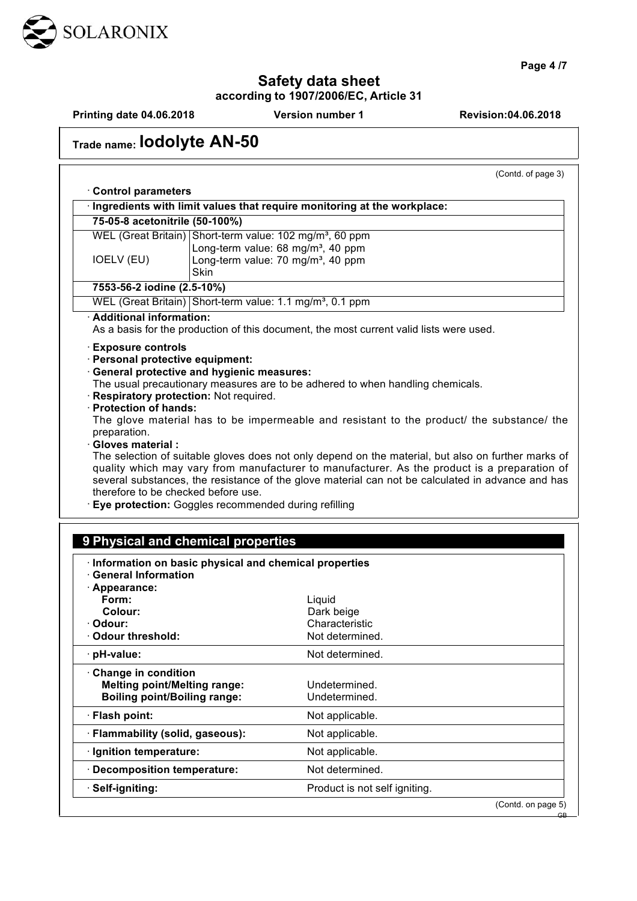

**Page 4 /7**

# **Safety data sheet**

**according to 1907/2006/EC, Article 31**

**Printing date 04.06.2018 Version number 1 Revision:04.06.2018**

| Trade name: IOdOlyte AN-50 |  |
|----------------------------|--|
|----------------------------|--|

(Contd. of page 3)

| <b>Control parameters</b>                                                             |             |                                                                                                     |  |  |
|---------------------------------------------------------------------------------------|-------------|-----------------------------------------------------------------------------------------------------|--|--|
|                                                                                       |             | · Ingredients with limit values that require monitoring at the workplace:                           |  |  |
| 75-05-8 acetonitrile (50-100%)                                                        |             |                                                                                                     |  |  |
| WEL (Great Britain) Short-term value: 102 mg/m <sup>3</sup> , 60 ppm                  |             |                                                                                                     |  |  |
| IOELV (EU)                                                                            |             | Long-term value: 68 mg/m <sup>3</sup> , 40 ppm<br>Long-term value: 70 mg/m <sup>3</sup> , 40 ppm    |  |  |
|                                                                                       | <b>Skin</b> |                                                                                                     |  |  |
| 7553-56-2 iodine (2.5-10%)                                                            |             |                                                                                                     |  |  |
| WEL (Great Britain) Short-term value: 1.1 mg/m <sup>3</sup> , 0.1 ppm                 |             |                                                                                                     |  |  |
| · Additional information:                                                             |             |                                                                                                     |  |  |
|                                                                                       |             | As a basis for the production of this document, the most current valid lists were used.             |  |  |
| · Exposure controls                                                                   |             |                                                                                                     |  |  |
| · Personal protective equipment:                                                      |             |                                                                                                     |  |  |
| · General protective and hygienic measures:                                           |             | The usual precautionary measures are to be adhered to when handling chemicals.                      |  |  |
| Respiratory protection: Not required.                                                 |             |                                                                                                     |  |  |
| · Protection of hands:                                                                |             |                                                                                                     |  |  |
|                                                                                       |             | The glove material has to be impermeable and resistant to the product/ the substance/ the           |  |  |
| preparation.<br>· Gloves material :                                                   |             |                                                                                                     |  |  |
|                                                                                       |             | The selection of suitable gloves does not only depend on the material, but also on further marks of |  |  |
|                                                                                       |             | quality which may vary from manufacturer to manufacturer. As the product is a preparation of        |  |  |
|                                                                                       |             | several substances, the resistance of the glove material can not be calculated in advance and has   |  |  |
| therefore to be checked before use.                                                   |             |                                                                                                     |  |  |
| Eye protection: Goggles recommended during refilling                                  |             |                                                                                                     |  |  |
|                                                                                       |             |                                                                                                     |  |  |
| 9 Physical and chemical properties                                                    |             |                                                                                                     |  |  |
|                                                                                       |             |                                                                                                     |  |  |
| · Information on basic physical and chemical properties<br><b>General Information</b> |             |                                                                                                     |  |  |
| · Appearance:                                                                         |             |                                                                                                     |  |  |
| Form:                                                                                 |             | Liquid                                                                                              |  |  |
| Colour:                                                                               |             | Dark beige                                                                                          |  |  |
| · Odour:                                                                              |             | Characteristic                                                                                      |  |  |
| Odour threshold:                                                                      |             | Not determined.                                                                                     |  |  |
| · pH-value:                                                                           |             | Not determined.                                                                                     |  |  |
| Change in condition                                                                   |             |                                                                                                     |  |  |
| <b>Melting point/Melting range:</b>                                                   |             | Undetermined.                                                                                       |  |  |
| <b>Boiling point/Boiling range:</b>                                                   |             | Undetermined.                                                                                       |  |  |
| · Flash point:                                                                        |             | Not applicable.                                                                                     |  |  |
| · Flammability (solid, gaseous):                                                      |             | Not applicable.                                                                                     |  |  |
| · Ignition temperature:                                                               |             | Not applicable.                                                                                     |  |  |
| · Decomposition temperature:                                                          |             | Not determined.                                                                                     |  |  |
| · Self-igniting:                                                                      |             |                                                                                                     |  |  |
|                                                                                       |             | Product is not self igniting.                                                                       |  |  |
|                                                                                       |             | (Contd. on page 5)                                                                                  |  |  |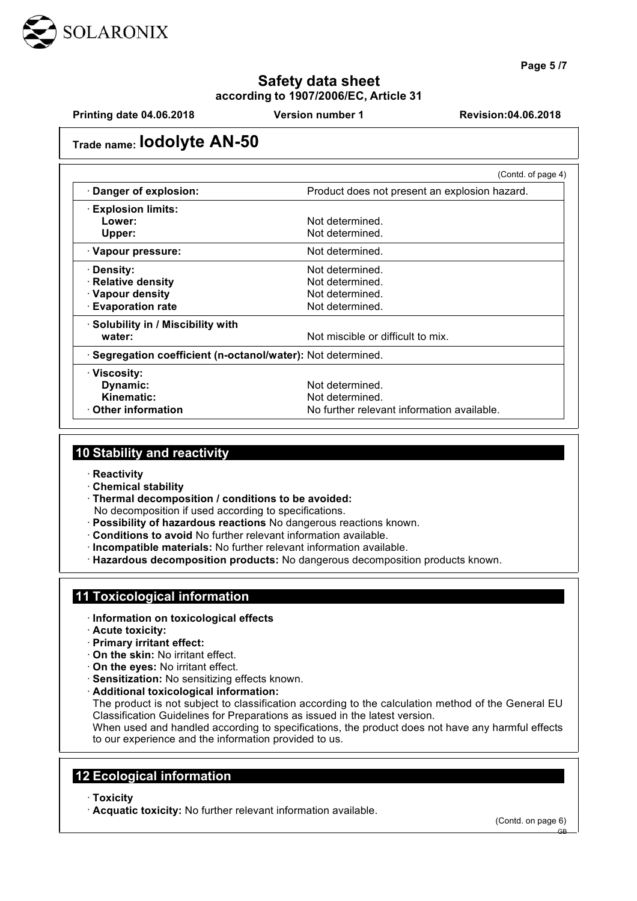

**Page 5 /7**

### **Safety data sheet according to 1907/2006/EC, Article 31**

**Printing date 04.06.2018 Version number 1 Revision:04.06.2018**

## **Trade name: Iodolyte AN-50**

|                                                              | (Contd. of page 4)                            |
|--------------------------------------------------------------|-----------------------------------------------|
| Danger of explosion:                                         | Product does not present an explosion hazard. |
| <b>Explosion limits:</b>                                     |                                               |
| Lower:                                                       | Not determined.                               |
| Upper:                                                       | Not determined.                               |
| · Vapour pressure:                                           | Not determined.                               |
| · Density:                                                   | Not determined.                               |
| · Relative density                                           | Not determined.                               |
| · Vapour density                                             | Not determined.                               |
| ⋅ Evaporation rate                                           | Not determined.                               |
| · Solubility in / Miscibility with                           |                                               |
| water:                                                       | Not miscible or difficult to mix.             |
| · Segregation coefficient (n-octanol/water): Not determined. |                                               |
| · Viscosity:                                                 |                                               |
| Dynamic:                                                     | Not determined.                               |
| Kinematic:                                                   | Not determined.                               |
| ⋅ Other information                                          | No further relevant information available.    |

### **10 Stability and reactivity**

- · **Reactivity**
- · **Chemical stability**
- · **Thermal decomposition / conditions to be avoided:**
	- No decomposition if used according to specifications.
- · **Possibility of hazardous reactions** No dangerous reactions known.
- · **Conditions to avoid** No further relevant information available.
- · **Incompatible materials:** No further relevant information available.
- · **Hazardous decomposition products:** No dangerous decomposition products known.

#### **11 Toxicological information**

- · **Information on toxicological effects**
- · **Acute toxicity:**
- · **Primary irritant effect:**
- · **On the skin:** No irritant effect.
- · **On the eyes:** No irritant effect.
- · **Sensitization:** No sensitizing effects known.
- · **Additional toxicological information:**

The product is not subject to classification according to the calculation method of the General EU Classification Guidelines for Preparations as issued in the latest version.

When used and handled according to specifications, the product does not have any harmful effects to our experience and the information provided to us.

#### **12 Ecological information**

- · **Toxicity**
- · **Acquatic toxicity:** No further relevant information available.

(Contd. on page 6)

GB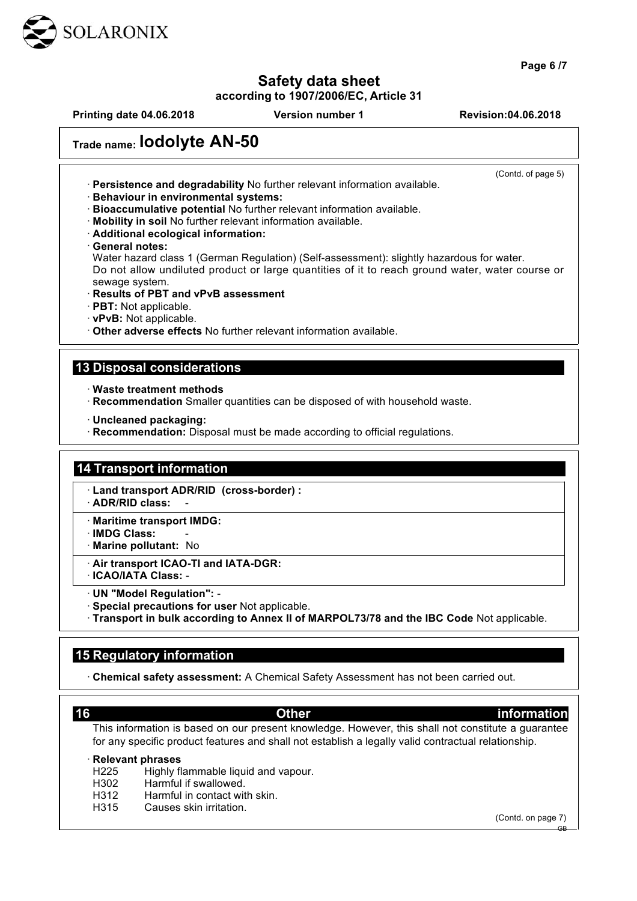

**Page 6 /7**

# **Safety data sheet**

**according to 1907/2006/EC, Article 31**

**Printing date 04.06.2018 Version number 1 Revision:04.06.2018**

(Contd. of page 5)

# **Trade name: Iodolyte AN-50**

· **Persistence and degradability** No further relevant information available.

· **Behaviour in environmental systems:**

· **Bioaccumulative potential** No further relevant information available.

· **Mobility in soil** No further relevant information available.

· **Additional ecological information:**

· **General notes:**

Water hazard class 1 (German Regulation) (Self-assessment): slightly hazardous for water. Do not allow undiluted product or large quantities of it to reach ground water, water course or sewage system.

- · **Results of PBT and vPvB assessment**
- · **PBT:** Not applicable.
- · **vPvB:** Not applicable.

· **Other adverse effects** No further relevant information available.

#### **13 Disposal considerations**

· **Waste treatment methods**

- · **Recommendation** Smaller quantities can be disposed of with household waste.
- · **Uncleaned packaging:**
- · **Recommendation:** Disposal must be made according to official regulations.

#### **14 Transport information**

- · **Land transport ADR/RID (cross-border) :**
- · **ADR/RID class:** -
- · **Maritime transport IMDG:**
- · **IMDG Class:** -
- · **Marine pollutant:** No
- · **Air transport ICAO-TI and IATA-DGR:**
- · **ICAO/IATA Class:** -
- · **UN "Model Regulation":** -
- · **Special precautions for user** Not applicable.
- · **Transport in bulk according to Annex II of MARPOL73/78 and the IBC Code** Not applicable.

#### **15 Regulatory information**

· **Chemical safety assessment:** A Chemical Safety Assessment has not been carried out.

**16 Other information** 

This information is based on our present knowledge. However, this shall not constitute a guarantee for any specific product features and shall not establish a legally valid contractual relationship.

#### · **Relevant phrases**

- H225 Highly flammable liquid and vapour.
- H302 Harmful if swallowed.
- H312 Harmful in contact with skin.
- H315 Causes skin irritation.

(Contd. on page 7)